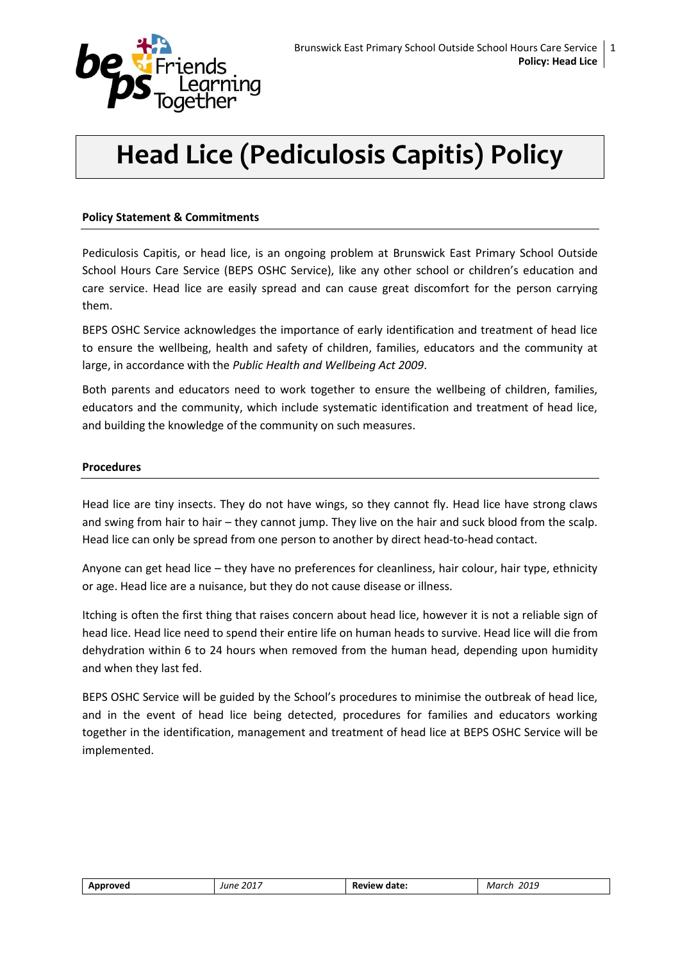

# **Head Lice (Pediculosis Capitis) Policy**

## **Policy Statement & Commitments**

Pediculosis Capitis, or head lice, is an ongoing problem at Brunswick East Primary School Outside School Hours Care Service (BEPS OSHC Service), like any other school or children's education and care service. Head lice are easily spread and can cause great discomfort for the person carrying them.

BEPS OSHC Service acknowledges the importance of early identification and treatment of head lice to ensure the wellbeing, health and safety of children, families, educators and the community at large, in accordance with the *Public Health and Wellbeing Act 2009*.

Both parents and educators need to work together to ensure the wellbeing of children, families, educators and the community, which include systematic identification and treatment of head lice, and building the knowledge of the community on such measures.

#### **Procedures**

Head lice are tiny insects. They do not have wings, so they cannot fly. Head lice have strong claws and swing from hair to hair – they cannot jump. They live on the hair and suck blood from the scalp. Head lice can only be spread from one person to another by direct head-to-head contact.

Anyone can get head lice – they have no preferences for cleanliness, hair colour, hair type, ethnicity or age. Head lice are a nuisance, but they do not cause disease or illness.

Itching is often the first thing that raises concern about head lice, however it is not a reliable sign of head lice. Head lice need to spend their entire life on human heads to survive. Head lice will die from dehydration within 6 to 24 hours when removed from the human head, depending upon humidity and when they last fed.

BEPS OSHC Service will be guided by the School's procedures to minimise the outbreak of head lice, and in the event of head lice being detected, procedures for families and educators working together in the identification, management and treatment of head lice at BEPS OSHC Service will be implemented.

| Approved | 2017<br>June | date:<br>Review | 2019<br>Mar |
|----------|--------------|-----------------|-------------|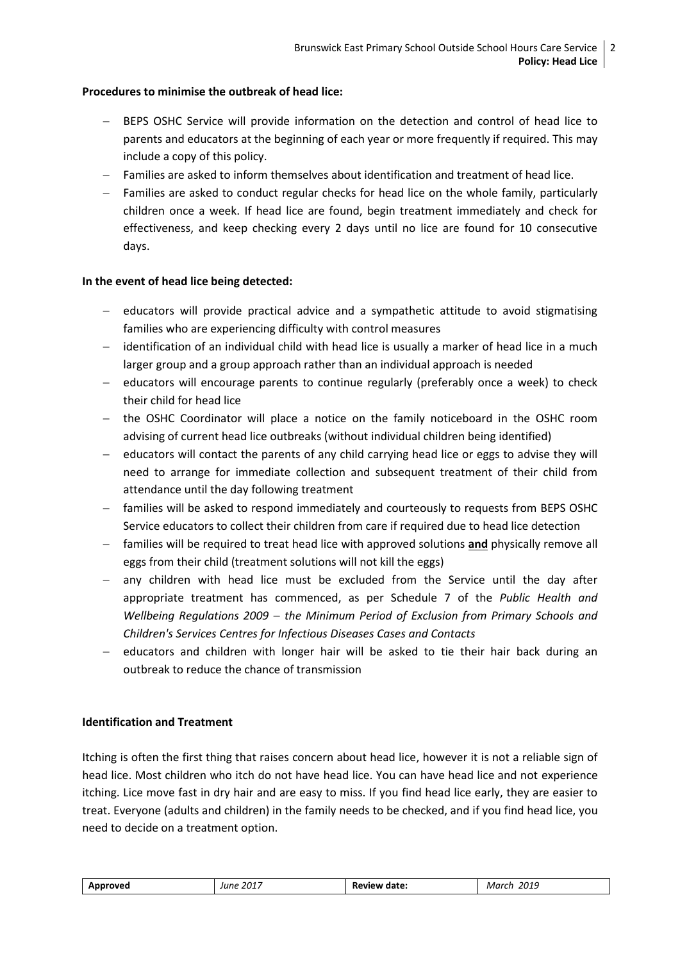## **Procedures to minimise the outbreak of head lice:**

- BEPS OSHC Service will provide information on the detection and control of head lice to parents and educators at the beginning of each year or more frequently if required. This may include a copy of this policy.
- Families are asked to inform themselves about identification and treatment of head lice.
- Families are asked to conduct regular checks for head lice on the whole family, particularly children once a week. If head lice are found, begin treatment immediately and check for effectiveness, and keep checking every 2 days until no lice are found for 10 consecutive days.

# **In the event of head lice being detected:**

- educators will provide practical advice and a sympathetic attitude to avoid stigmatising families who are experiencing difficulty with control measures
- identification of an individual child with head lice is usually a marker of head lice in a much larger group and a group approach rather than an individual approach is needed
- educators will encourage parents to continue regularly (preferably once a week) to check their child for head lice
- the OSHC Coordinator will place a notice on the family noticeboard in the OSHC room advising of current head lice outbreaks (without individual children being identified)
- $-$  educators will contact the parents of any child carrying head lice or eggs to advise they will need to arrange for immediate collection and subsequent treatment of their child from attendance until the day following treatment
- families will be asked to respond immediately and courteously to requests from BEPS OSHC Service educators to collect their children from care if required due to head lice detection
- families will be required to treat head lice with approved solutions **and** physically remove all eggs from their child (treatment solutions will not kill the eggs)
- any children with head lice must be excluded from the Service until the day after appropriate treatment has commenced, as per Schedule 7 of the *Public Health and Wellbeing Regulations 2009 the Minimum Period of Exclusion from Primary Schools and Children's Services Centres for Infectious Diseases Cases and Contacts*
- educators and children with longer hair will be asked to tie their hair back during an outbreak to reduce the chance of transmission

## **Identification and Treatment**

Itching is often the first thing that raises concern about head lice, however it is not a reliable sign of head lice. Most children who itch do not have head lice. You can have head lice and not experience itching. Lice move fast in dry hair and are easy to miss. If you find head lice early, they are easier to treat. Everyone (adults and children) in the family needs to be checked, and if you find head lice, you need to decide on a treatment option.

| . 2017<br><b>AND</b><br>June<br>11<br>$  -$ | date<br>.<br>vo.<br>n.<br>. | 2019<br>$M^{\prime}$ |
|---------------------------------------------|-----------------------------|----------------------|
|---------------------------------------------|-----------------------------|----------------------|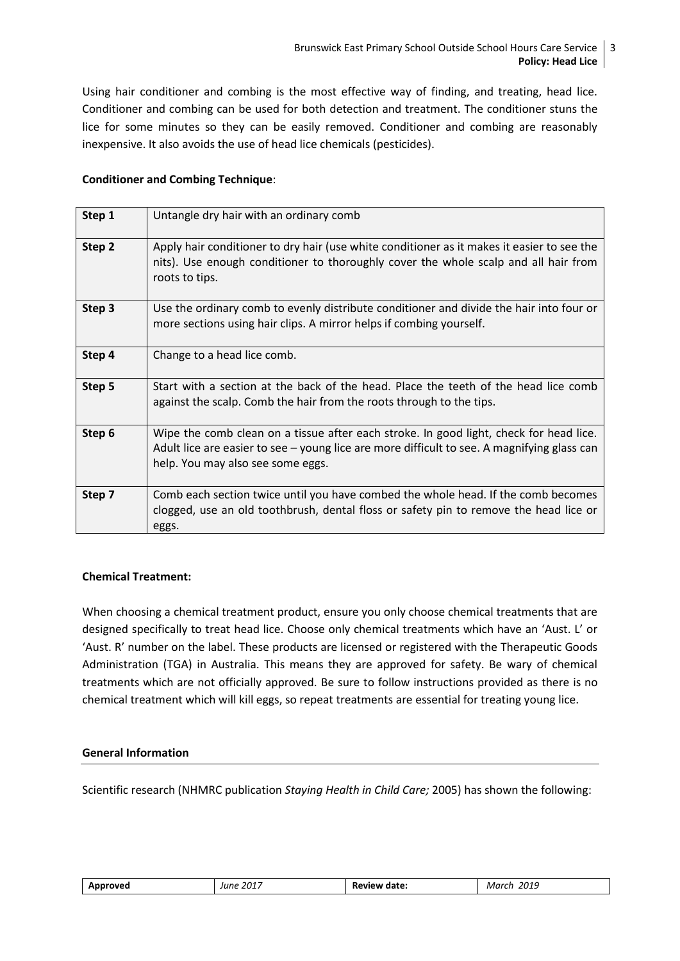Using hair conditioner and combing is the most effective way of finding, and treating, head lice. Conditioner and combing can be used for both detection and treatment. The conditioner stuns the lice for some minutes so they can be easily removed. Conditioner and combing are reasonably inexpensive. It also avoids the use of head lice chemicals (pesticides).

# **Conditioner and Combing Technique**:

| Step 1 | Untangle dry hair with an ordinary comb                                                                                                                                                                                    |
|--------|----------------------------------------------------------------------------------------------------------------------------------------------------------------------------------------------------------------------------|
| Step 2 | Apply hair conditioner to dry hair (use white conditioner as it makes it easier to see the<br>nits). Use enough conditioner to thoroughly cover the whole scalp and all hair from<br>roots to tips.                        |
| Step 3 | Use the ordinary comb to evenly distribute conditioner and divide the hair into four or<br>more sections using hair clips. A mirror helps if combing yourself.                                                             |
| Step 4 | Change to a head lice comb.                                                                                                                                                                                                |
| Step 5 | Start with a section at the back of the head. Place the teeth of the head lice comb<br>against the scalp. Comb the hair from the roots through to the tips.                                                                |
| Step 6 | Wipe the comb clean on a tissue after each stroke. In good light, check for head lice.<br>Adult lice are easier to see – young lice are more difficult to see. A magnifying glass can<br>help. You may also see some eggs. |
| Step 7 | Comb each section twice until you have combed the whole head. If the comb becomes<br>clogged, use an old toothbrush, dental floss or safety pin to remove the head lice or<br>eggs.                                        |

# **Chemical Treatment:**

When choosing a chemical treatment product, ensure you only choose chemical treatments that are designed specifically to treat head lice. Choose only chemical treatments which have an 'Aust. L' or 'Aust. R' number on the label. These products are licensed or registered with the Therapeutic Goods Administration (TGA) in Australia. This means they are approved for safety. Be wary of chemical treatments which are not officially approved. Be sure to follow instructions provided as there is no chemical treatment which will kill eggs, so repeat treatments are essential for treating young lice.

#### **General Information**

Scientific research (NHMRC publication *Staying Health in Child Care;* 2005) has shown the following:

| nve<br>$ -$ | 2017<br>June<br>ັ | date:<br>- 17 -<br>ĸŧ<br>.<br>. | 304<br>MC<br>ונוי<br>.<br>___ |
|-------------|-------------------|---------------------------------|-------------------------------|